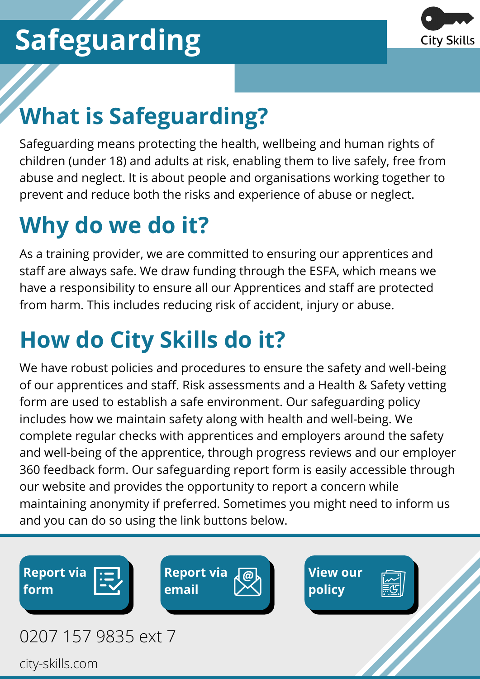

## **What is Safeguarding?**

Safeguarding means protecting the health, wellbeing and human rights of children (under 18) and adults at risk, enabling them to live safely, free from abuse and neglect. It is about people and organisations working together to prevent and reduce both the risks and experience of abuse or neglect.

## **Why do we do it?**

As a training provider, we are committed to ensuring our apprentices and staff are always safe. We draw funding through the ESFA, which means we have a responsibility to ensure all our Apprentices and staff are protected from harm. This includes reducing risk of accident, injury or abuse.

## **How do City Skills do it?**

We have robust policies and procedures to ensure the safety and well-being of our apprentices and staff. Risk assessments and a Health & Safety vetting form are used to establish a safe environment. Our safeguarding policy includes how we maintain safety along with health and well-being. We complete regular checks with apprentices and employers around the safety and well-being of the apprentice, through progress reviews and our employer 360 feedback form. Our safeguarding report form is easily accessible through our website and provides the opportunity to report a concern while maintaining anonymity if preferred. Sometimes you might need to inform us and you can do so using the link buttons below.





city-skills.com 0207 157 9835 ext 7